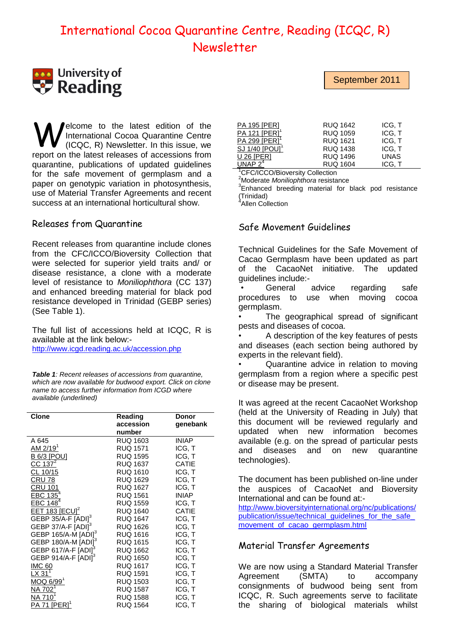# International Cocoa Quarantine Centre, Reading (ICQC, R) Newsletter

# **University of**  $\bullet$  Reading

elcome to the latest edition of the International Cocoa Quarantine Centre (ICQC, R) Newsletter. In this issue, we report on the latest releases of accessions from quarantine, publications of updated guidelines for the safe movement of germplasm and a paper on genotypic variation in photosynthesis, use of Material Transfer Agreements and recent success at an international horticultural show. W

### Releases from Quarantine

Recent releases from quarantine include clones from the CFC/ICCO/Bioversity Collection that were selected for superior yield traits and/ or disease resistance, a clone with a moderate level of resistance to *Moniliophthora* (CC 137) and enhanced breeding material for black pod resistance developed in Trinidad (GEBP series) (See Table 1).

The full list of accessions held at ICQC, R is available at the link below:-

<http://www.icgd.reading.ac.uk/accession.php>

*Table 1: Recent releases of accessions from quarantine, which are now available for budwood export. Click on clone name to access further information from ICGD where available (underlined)*

| <b>Clone</b>                      | Reading         | Donor        |
|-----------------------------------|-----------------|--------------|
|                                   | accession       | genebank     |
|                                   | number          |              |
| A 645                             | <b>RUQ 1603</b> | <b>INIAP</b> |
| <u>AM 2/19</u> <sup>1</sup>       | <b>RUQ 1571</b> | ICG, T       |
| <b>B 6/3 [POU]</b>                | <b>RUQ 1595</b> | ICG, T       |
| <u>CC 137<sup>2</sup></u>         | <b>RUQ 1637</b> | <b>CATIE</b> |
| CL 10/15                          | <b>RUQ 1610</b> | ICG, T       |
| CRU 78                            | RUQ 1629        | ICG, T       |
| <b>CRU 101</b>                    | <b>RUQ 1627</b> | ICG, T       |
| EBC $135^4$                       | <b>RUQ 1561</b> | <b>INIAP</b> |
| EBC 148 <sup>4</sup>              | <b>RUQ 1559</b> | ICG, T       |
| <u>EET 183 [ECU]<sup>2</sup></u>  | <b>RUQ 1640</b> | <b>CATIE</b> |
| GEBP 35/A-F [ADI] <sup>3</sup>    | <b>RUQ 1647</b> | ICG, T       |
| GEBP 37/A-F [ADI] <sup>3</sup>    | RUQ 1626        | ICG, T       |
| GEBP 165/A-M [ADI] <sup>3</sup>   | <b>RUQ 1616</b> | ICG, T       |
| GEBP 180/A-M [ADI] <sup>3</sup>   | <b>RUQ 1615</b> | ICG, T       |
| GEBP 617/A-F [ADI] <sup>3</sup>   | <b>RUQ 1662</b> | ICG, T       |
| GEBP 914/A-F $[ADI]$ <sup>3</sup> | <b>RUQ 1650</b> | ICG, T       |
| <b>IMC 60</b>                     | <b>RUQ 1617</b> | ICG, T       |
| <u>LX 311</u>                     | <b>RUQ 1591</b> | ICG, T       |
| <u>MOQ 6/991</u>                  | <b>RUQ 1503</b> | ICG, T       |
| NA 702                            | <b>RUQ 1587</b> | ICG, T       |
| NA 710                            | <b>RUQ 1588</b> | ICG, T       |
| <b>PA 71 [PER]</b>                | <b>RUQ 1564</b> | ICG, T       |

| <b>PA 195 [PER]</b>        | <b>RUQ 1642</b> | ICG, T      |
|----------------------------|-----------------|-------------|
| PA 121 [PER] <sup>1</sup>  | <b>RUQ 1059</b> | ICG, T      |
| PA 299 [PER]               | <b>RUQ 1621</b> | ICG. T      |
| SJ 1/40 [POU] <sup>1</sup> | <b>RUQ 1438</b> | ICG, T      |
| <b>U 26 [PER]</b>          | <b>RUQ 1496</b> | <b>UNAS</b> |
| $IINAP$ $24$               | <b>RUQ 1604</b> | ICG. T      |

<sup>1</sup>CFC/ICCO/Bioversity Collection

<sup>2</sup>Moderate *Moniliophthora* resistance

<sup>3</sup>Enhanced breeding material for black pod resistance (Trinidad) 4

Allen Collection

### Safe Movement Guidelines

Technical Guidelines for the Safe Movement of Cacao Germplasm have been updated as part of the CacaoNet initiative. The updated guidelines include:-

General advice regarding safe procedures to use when moving cocoa germplasm.

The geographical spread of significant pests and diseases of cocoa.

• A description of the key features of pests and diseases (each section being authored by experts in the relevant field).

• Quarantine advice in relation to moving germplasm from a region where a specific pest or disease may be present.

It was agreed at the recent CacaoNet Workshop (held at the University of Reading in July) that this document will be reviewed regularly and updated when new information becomes available (e.g. on the spread of particular pests and diseases and on new quarantine technologies).

The document has been published on-line under the auspices of CacaoNet and Bioversity International and can be found at:-

[http://www.bioversityinternational.org/nc/publications/](http://www.bioversityinternational.org/nc/publications/publication/issue/technical_guidelines_for_the_safe_movement_of_cacao_germplasm.html) [publication/issue/technical\\_guidelines\\_for\\_the\\_safe\\_](http://www.bioversityinternational.org/nc/publications/publication/issue/technical_guidelines_for_the_safe_movement_of_cacao_germplasm.html) [movement\\_of\\_cacao\\_germplasm.html](http://www.bioversityinternational.org/nc/publications/publication/issue/technical_guidelines_for_the_safe_movement_of_cacao_germplasm.html)

### Material Transfer Agreements

We are now using a Standard Material Transfer Agreement (SMTA) to accompany consignments of budwood being sent from ICQC, R. Such agreements serve to facilitate the sharing of biological materials whilst

September 2011